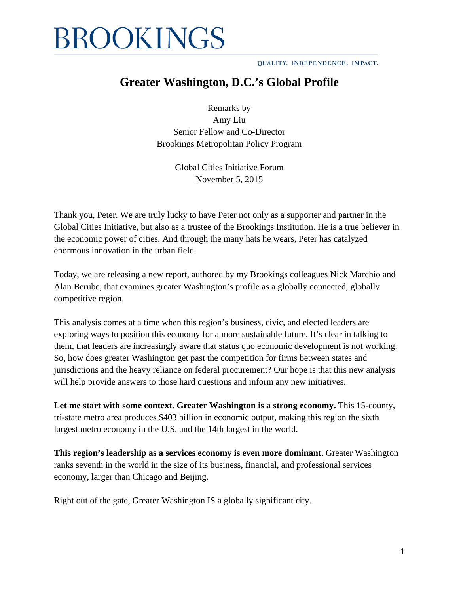QUALITY. INDEPENDENCE. IMPACT.

### **Greater Washington, D.C.'s Global Profile**

Remarks by Amy Liu Senior Fellow and Co-Director Brookings Metropolitan Policy Program

> Global Cities Initiative Forum November 5, 2015

Thank you, Peter. We are truly lucky to have Peter not only as a supporter and partner in the Global Cities Initiative, but also as a trustee of the Brookings Institution. He is a true believer in the economic power of cities. And through the many hats he wears, Peter has catalyzed enormous innovation in the urban field.

Today, we are releasing a new report, authored by my Brookings colleagues Nick Marchio and Alan Berube, that examines greater Washington's profile as a globally connected, globally competitive region.

This analysis comes at a time when this region's business, civic, and elected leaders are exploring ways to position this economy for a more sustainable future. It's clear in talking to them, that leaders are increasingly aware that status quo economic development is not working. So, how does greater Washington get past the competition for firms between states and jurisdictions and the heavy reliance on federal procurement? Our hope is that this new analysis will help provide answers to those hard questions and inform any new initiatives.

**Let me start with some context. Greater Washington is a strong economy.** This 15-county, tri-state metro area produces \$403 billion in economic output, making this region the sixth largest metro economy in the U.S. and the 14th largest in the world.

**This region's leadership as a services economy is even more dominant.** Greater Washington ranks seventh in the world in the size of its business, financial, and professional services economy, larger than Chicago and Beijing.

Right out of the gate, Greater Washington IS a globally significant city.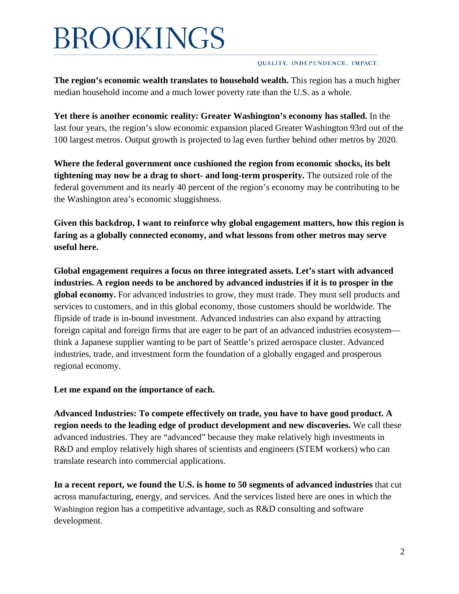#### QUALITY. INDEPENDENCE. IMPACT.

**The region's economic wealth translates to household wealth.** This region has a much higher median household income and a much lower poverty rate than the U.S. as a whole.

**Yet there is another economic reality: Greater Washington's economy has stalled.** In the last four years, the region's slow economic expansion placed Greater Washington 93rd out of the 100 largest metros. Output growth is projected to lag even further behind other metros by 2020.

**Where the federal government once cushioned the region from economic shocks, its belt tightening may now be a drag to short- and long-term prosperity.** The outsized role of the federal government and its nearly 40 percent of the region's economy may be contributing to be the Washington area's economic sluggishness.

**Given this backdrop, I want to reinforce why global engagement matters, how this region is faring as a globally connected economy, and what lessons from other metros may serve useful here.** 

**Global engagement requires a focus on three integrated assets. Let's start with advanced industries. A region needs to be anchored by advanced industries if it is to prosper in the global economy.** For advanced industries to grow, they must trade. They must sell products and services to customers, and in this global economy, those customers should be worldwide. The flipside of trade is in-bound investment. Advanced industries can also expand by attracting foreign capital and foreign firms that are eager to be part of an advanced industries ecosystem think a Japanese supplier wanting to be part of Seattle's prized aerospace cluster. Advanced industries, trade, and investment form the foundation of a globally engaged and prosperous regional economy.

**Let me expand on the importance of each.**

**Advanced Industries: To compete effectively on trade, you have to have good product. A region needs to the leading edge of product development and new discoveries.** We call these advanced industries. They are "advanced" because they make relatively high investments in R&D and employ relatively high shares of scientists and engineers (STEM workers) who can translate research into commercial applications.

**In a recent report, we found the U.S. is home to 50 segments of advanced industries** that cut across manufacturing, energy, and services. And the services listed here are ones in which the Washington region has a competitive advantage, such as R&D consulting and software development.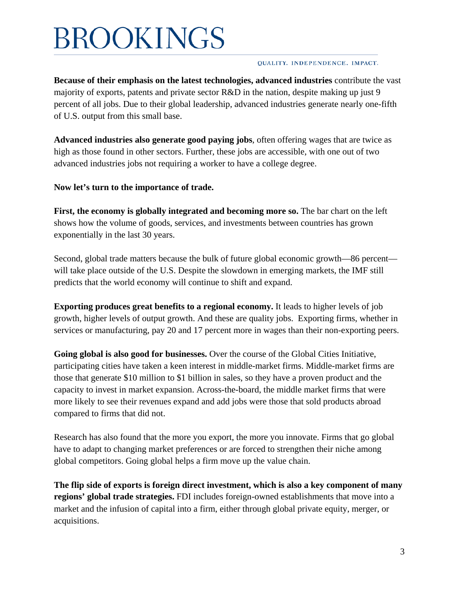#### QUALITY. INDEPENDENCE. IMPACT.

**Because of their emphasis on the latest technologies, advanced industries** contribute the vast majority of exports, patents and private sector R&D in the nation, despite making up just 9 percent of all jobs. Due to their global leadership, advanced industries generate nearly one-fifth of U.S. output from this small base.

**Advanced industries also generate good paying jobs**, often offering wages that are twice as high as those found in other sectors. Further, these jobs are accessible, with one out of two advanced industries jobs not requiring a worker to have a college degree.

**Now let's turn to the importance of trade.**

**First, the economy is globally integrated and becoming more so.** The bar chart on the left shows how the volume of goods, services, and investments between countries has grown exponentially in the last 30 years.

Second, global trade matters because the bulk of future global economic growth—86 percent will take place outside of the U.S. Despite the slowdown in emerging markets, the IMF still predicts that the world economy will continue to shift and expand.

**Exporting produces great benefits to a regional economy.** It leads to higher levels of job growth, higher levels of output growth. And these are quality jobs. Exporting firms, whether in services or manufacturing, pay 20 and 17 percent more in wages than their non-exporting peers.

**Going global is also good for businesses.** Over the course of the Global Cities Initiative, participating cities have taken a keen interest in middle-market firms. Middle-market firms are those that generate \$10 million to \$1 billion in sales, so they have a proven product and the capacity to invest in market expansion. Across-the-board, the middle market firms that were more likely to see their revenues expand and add jobs were those that sold products abroad compared to firms that did not.

Research has also found that the more you export, the more you innovate. Firms that go global have to adapt to changing market preferences or are forced to strengthen their niche among global competitors. Going global helps a firm move up the value chain.

**The flip side of exports is foreign direct investment, which is also a key component of many regions' global trade strategies.** FDI includes foreign-owned establishments that move into a market and the infusion of capital into a firm, either through global private equity, merger, or acquisitions.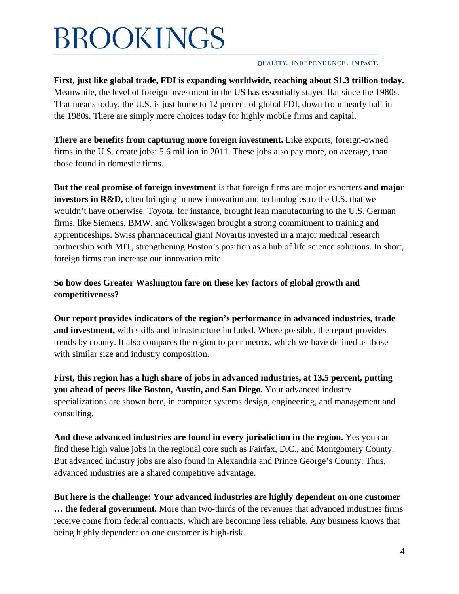#### QUALITY. INDEPENDENCE. IMPACT.

**First, just like global trade, FDI is expanding worldwide, reaching about \$1.3 trillion today.** Meanwhile, the level of foreign investment in the US has essentially stayed flat since the 1980s. That means today, the U.S. is just home to 12 percent of global FDI, down from nearly half in the 1980s**.** There are simply more choices today for highly mobile firms and capital.

**There are benefits from capturing more foreign investment.** Like exports, foreign-owned firms in the U.S. create jobs: 5.6 million in 2011. These jobs also pay more, on average, than those found in domestic firms.

**But the real promise of foreign investment** is that foreign firms are major exporters **and major investors in R&D,** often bringing in new innovation and technologies to the U.S. that we wouldn't have otherwise. Toyota, for instance, brought lean manufacturing to the U.S. German firms, like Siemens, BMW, and Volkswagen brought a strong commitment to training and apprenticeships. Swiss pharmaceutical giant Novartis invested in a major medical research partnership with MIT, strengthening Boston's position as a hub of life science solutions. In short, foreign firms can increase our innovation mite.

**So how does Greater Washington fare on these key factors of global growth and competitiveness?** 

**Our report provides indicators of the region's performance in advanced industries, trade and investment,** with skills and infrastructure included. Where possible, the report provides trends by county. It also compares the region to peer metros, which we have defined as those with similar size and industry composition.

**First, this region has a high share of jobs in advanced industries, at 13.5 percent, putting you ahead of peers like Boston, Austin, and San Diego.** Your advanced industry specializations are shown here, in computer systems design, engineering, and management and consulting.

**And these advanced industries are found in every jurisdiction in the region.** Yes you can find these high value jobs in the regional core such as Fairfax, D.C., and Montgomery County. But advanced industry jobs are also found in Alexandria and Prince George's County. Thus, advanced industries are a shared competitive advantage.

**But here is the challenge: Your advanced industries are highly dependent on one customer … the federal government.** More than two-thirds of the revenues that advanced industries firms receive come from federal contracts, which are becoming less reliable. Any business knows that being highly dependent on one customer is high-risk.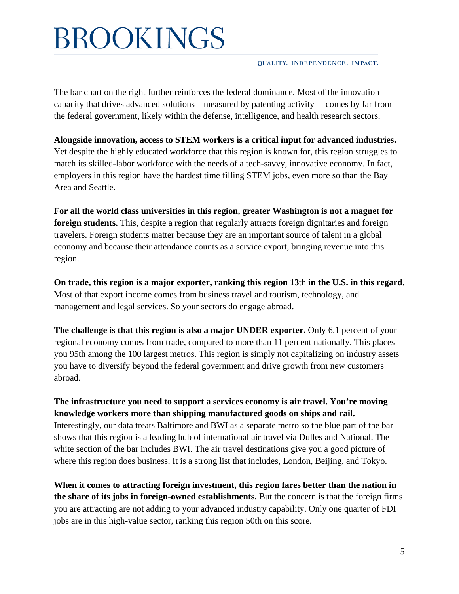QUALITY. INDEPENDENCE. IMPACT.

The bar chart on the right further reinforces the federal dominance. Most of the innovation capacity that drives advanced solutions – measured by patenting activity —comes by far from the federal government, likely within the defense, intelligence, and health research sectors.

**Alongside innovation, access to STEM workers is a critical input for advanced industries.**  Yet despite the highly educated workforce that this region is known for, this region struggles to match its skilled-labor workforce with the needs of a tech-savvy, innovative economy. In fact, employers in this region have the hardest time filling STEM jobs, even more so than the Bay Area and Seattle.

**For all the world class universities in this region, greater Washington is not a magnet for foreign students.** This, despite a region that regularly attracts foreign dignitaries and foreign travelers. Foreign students matter because they are an important source of talent in a global economy and because their attendance counts as a service export, bringing revenue into this region.

**On trade, this region is a major exporter, ranking this region 13**th **in the U.S. in this regard.** Most of that export income comes from business travel and tourism, technology, and management and legal services. So your sectors do engage abroad.

**The challenge is that this region is also a major UNDER exporter.** Only 6.1 percent of your regional economy comes from trade, compared to more than 11 percent nationally. This places you 95th among the 100 largest metros. This region is simply not capitalizing on industry assets you have to diversify beyond the federal government and drive growth from new customers abroad.

**The infrastructure you need to support a services economy is air travel. You're moving knowledge workers more than shipping manufactured goods on ships and rail.** Interestingly, our data treats Baltimore and BWI as a separate metro so the blue part of the bar shows that this region is a leading hub of international air travel via Dulles and National. The white section of the bar includes BWI. The air travel destinations give you a good picture of where this region does business. It is a strong list that includes, London, Beijing, and Tokyo.

**When it comes to attracting foreign investment, this region fares better than the nation in the share of its jobs in foreign-owned establishments.** But the concern is that the foreign firms you are attracting are not adding to your advanced industry capability. Only one quarter of FDI jobs are in this high-value sector, ranking this region 50th on this score.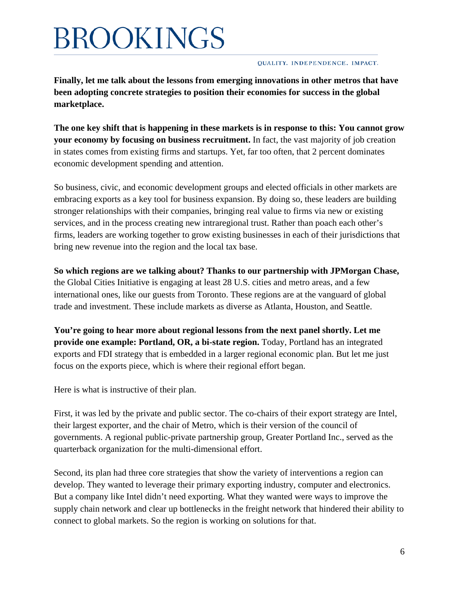#### QUALITY. INDEPENDENCE. IMPACT.

**Finally, let me talk about the lessons from emerging innovations in other metros that have been adopting concrete strategies to position their economies for success in the global marketplace.**

**The one key shift that is happening in these markets is in response to this: You cannot grow your economy by focusing on business recruitment.** In fact, the vast majority of job creation in states comes from existing firms and startups. Yet, far too often, that 2 percent dominates economic development spending and attention.

So business, civic, and economic development groups and elected officials in other markets are embracing exports as a key tool for business expansion. By doing so, these leaders are building stronger relationships with their companies, bringing real value to firms via new or existing services, and in the process creating new intraregional trust. Rather than poach each other's firms, leaders are working together to grow existing businesses in each of their jurisdictions that bring new revenue into the region and the local tax base.

**So which regions are we talking about? Thanks to our partnership with JPMorgan Chase,**  the Global Cities Initiative is engaging at least 28 U.S. cities and metro areas, and a few international ones, like our guests from Toronto. These regions are at the vanguard of global trade and investment. These include markets as diverse as Atlanta, Houston, and Seattle.

**You're going to hear more about regional lessons from the next panel shortly. Let me provide one example: Portland, OR, a bi-state region.** Today, Portland has an integrated exports and FDI strategy that is embedded in a larger regional economic plan. But let me just focus on the exports piece, which is where their regional effort began.

Here is what is instructive of their plan.

First, it was led by the private and public sector. The co-chairs of their export strategy are Intel, their largest exporter, and the chair of Metro, which is their version of the council of governments. A regional public-private partnership group, Greater Portland Inc., served as the quarterback organization for the multi-dimensional effort.

Second, its plan had three core strategies that show the variety of interventions a region can develop. They wanted to leverage their primary exporting industry, computer and electronics. But a company like Intel didn't need exporting. What they wanted were ways to improve the supply chain network and clear up bottlenecks in the freight network that hindered their ability to connect to global markets. So the region is working on solutions for that.